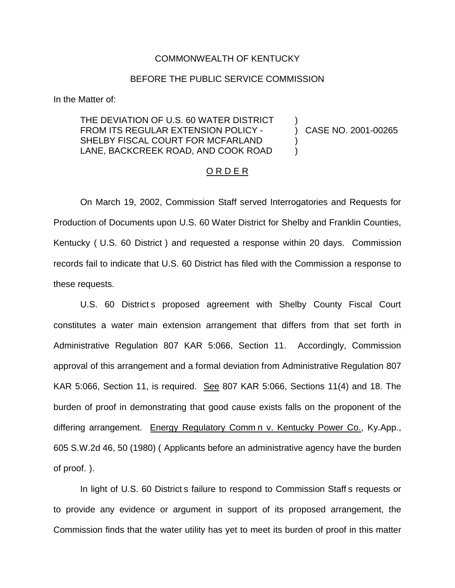## COMMONWEALTH OF KENTUCKY

## BEFORE THE PUBLIC SERVICE COMMISSION

In the Matter of:

## THE DEVIATION OF U.S. 60 WATER DISTRICT FROM ITS REGULAR EXTENSION POLICY - SHELBY FISCAL COURT FOR MCFARLAND LANE, BACKCREEK ROAD, AND COOK ROAD

) CASE NO. 2001-00265

)

) )

## O R D E R

On March 19, 2002, Commission Staff served Interrogatories and Requests for Production of Documents upon U.S. 60 Water District for Shelby and Franklin Counties, Kentucky ( U.S. 60 District ) and requested a response within 20 days. Commission records fail to indicate that U.S. 60 District has filed with the Commission a response to these requests.

U.S. 60 District s proposed agreement with Shelby County Fiscal Court constitutes a water main extension arrangement that differs from that set forth in Administrative Regulation 807 KAR 5:066, Section 11. Accordingly, Commission approval of this arrangement and a formal deviation from Administrative Regulation 807 KAR 5:066, Section 11, is required. See 807 KAR 5:066, Sections 11(4) and 18. The burden of proof in demonstrating that good cause exists falls on the proponent of the differing arrangement. Energy Regulatory Comm n v. Kentucky Power Co., Ky.App., 605 S.W.2d 46, 50 (1980) ( Applicants before an administrative agency have the burden of proof. ).

In light of U.S. 60 District s failure to respond to Commission Staff s requests or to provide any evidence or argument in support of its proposed arrangement, the Commission finds that the water utility has yet to meet its burden of proof in this matter